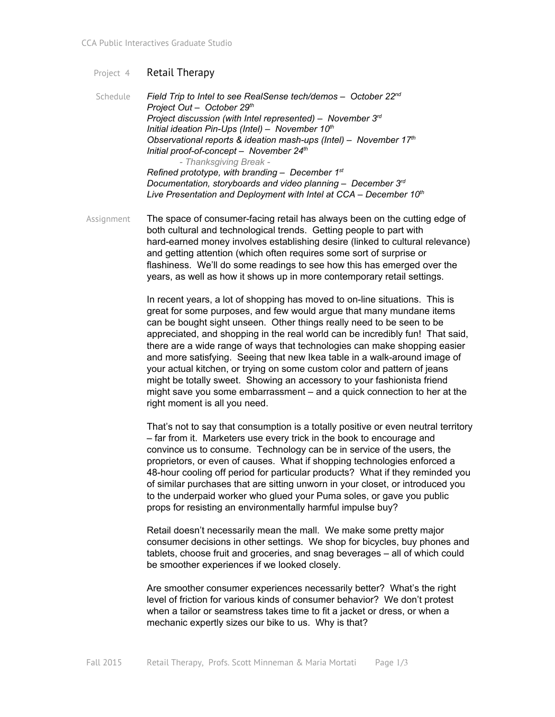## Project 4 Retail Therapy

Schedule *Field Trip to Intel to see RealSense tech/demos – October 22 nd Project Out – October 29 th Project discussion (with Intel represented) – November 3 rd Initial ideation Pin-Ups (Intel)* – November 10<sup>th</sup> *Observational reports & ideation mash-ups (Intel) – November 17<sup>th</sup> Initial proof-of-concept* – November 24<sup>th</sup> *Thanksgiving Break Refined prototype, with branding – December 1 st Documentation, storyboards and video planning – December 3 rd Live Presentation and Deployment with Intel at CCA – December 10 th*

Assignment The space of consumer-facing retail has always been on the cutting edge of both cultural and technological trends. Getting people to part with hard-earned money involves establishing desire (linked to cultural relevance) and getting attention (which often requires some sort of surprise or flashiness. We'll do some readings to see how this has emerged over the years, as well as how it shows up in more contemporary retail settings.

> In recent years, a lot of shopping has moved to on-line situations. This is great for some purposes, and few would argue that many mundane items can be bought sight unseen. Other things really need to be seen to be appreciated, and shopping in the real world can be incredibly fun! That said, there are a wide range of ways that technologies can make shopping easier and more satisfying. Seeing that new Ikea table in a walk-around image of your actual kitchen, or trying on some custom color and pattern of jeans might be totally sweet. Showing an accessory to your fashionista friend might save you some embarrassment – and a quick connection to her at the right moment is all you need.

That's not to say that consumption is a totally positive or even neutral territory – far from it. Marketers use every trick in the book to encourage and convince us to consume. Technology can be in service of the users, the proprietors, or even of causes. What if shopping technologies enforced a 48-hour cooling off period for particular products? What if they reminded you of similar purchases that are sitting unworn in your closet, or introduced you to the underpaid worker who glued your Puma soles, or gave you public props for resisting an environmentally harmful impulse buy?

Retail doesn't necessarily mean the mall. We make some pretty major consumer decisions in other settings. We shop for bicycles, buy phones and tablets, choose fruit and groceries, and snag beverages – all of which could be smoother experiences if we looked closely.

Are smoother consumer experiences necessarily better? What's the right level of friction for various kinds of consumer behavior? We don't protest when a tailor or seamstress takes time to fit a jacket or dress, or when a mechanic expertly sizes our bike to us. Why is that?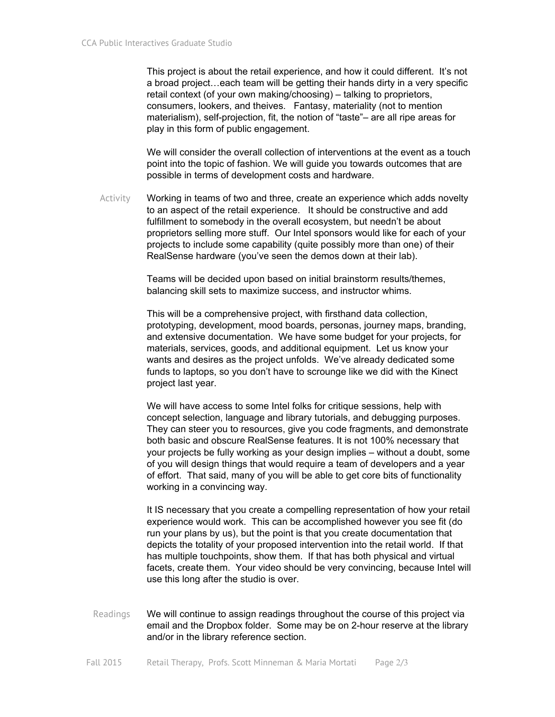This project is about the retail experience, and how it could different. It's not a broad project…each team will be getting their hands dirty in a very specific retail context (of your own making/choosing) – talking to proprietors, consumers, lookers, and theives. Fantasy, materiality (not to mention materialism), self-projection, fit, the notion of "taste"– are all ripe areas for play in this form of public engagement.

We will consider the overall collection of interventions at the event as a touch point into the topic of fashion. We will guide you towards outcomes that are possible in terms of development costs and hardware.

Activity Working in teams of two and three, create an experience which adds novelty to an aspect of the retail experience. It should be constructive and add fulfillment to somebody in the overall ecosystem, but needn't be about proprietors selling more stuff. Our Intel sponsors would like for each of your projects to include some capability (quite possibly more than one) of their RealSense hardware (you've seen the demos down at their lab).

> Teams will be decided upon based on initial brainstorm results/themes, balancing skill sets to maximize success, and instructor whims.

This will be a comprehensive project, with firsthand data collection, prototyping, development, mood boards, personas, journey maps, branding, and extensive documentation. We have some budget for your projects, for materials, services, goods, and additional equipment. Let us know your wants and desires as the project unfolds. We've already dedicated some funds to laptops, so you don't have to scrounge like we did with the Kinect project last year.

We will have access to some Intel folks for critique sessions, help with concept selection, language and library tutorials, and debugging purposes. They can steer you to resources, give you code fragments, and demonstrate both basic and obscure RealSense features. It is not 100% necessary that your projects be fully working as your design implies – without a doubt, some of you will design things that would require a team of developers and a year of effort. That said, many of you will be able to get core bits of functionality working in a convincing way.

It IS necessary that you create a compelling representation of how your retail experience would work. This can be accomplished however you see fit (do run your plans by us), but the point is that you create documentation that depicts the totality of your proposed intervention into the retail world. If that has multiple touchpoints, show them. If that has both physical and virtual facets, create them. Your video should be very convincing, because Intel will use this long after the studio is over.

Readings We will continue to assign readings throughout the course of this project via email and the Dropbox folder. Some may be on 2-hour reserve at the library and/or in the library reference section.